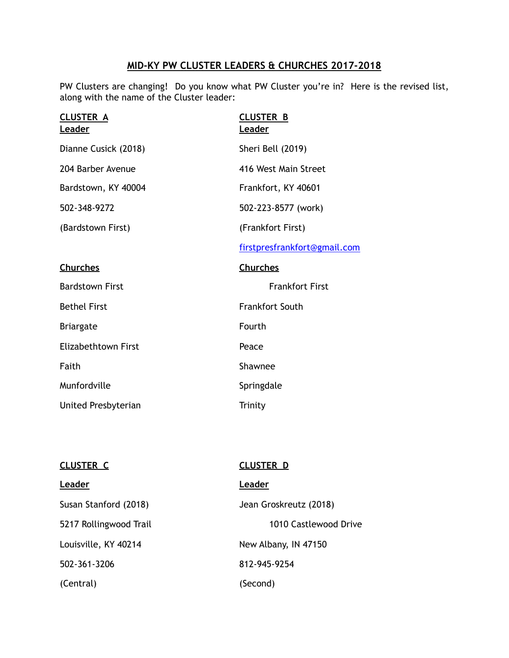## **MID-KY PW CLUSTER LEADERS & CHURCHES 2017-2018**

PW Clusters are changing! Do you know what PW Cluster you're in? Here is the revised list, along with the name of the Cluster leader:

| <b>CLUSTER A</b><br>Leader | <b>CLUSTER B</b><br><b>Leader</b> |
|----------------------------|-----------------------------------|
| Dianne Cusick (2018)       | Sheri Bell (2019)                 |
| 204 Barber Avenue          | 416 West Main Street              |
| Bardstown, KY 40004        | Frankfort, KY 40601               |
| 502-348-9272               | 502-223-8577 (work)               |
| (Bardstown First)          | (Frankfort First)                 |
|                            | firstpresfrankfort@gmail.com      |
| <b>Churches</b>            | <b>Churches</b>                   |
| <b>Bardstown First</b>     | <b>Frankfort First</b>            |
| <b>Bethel First</b>        | <b>Frankfort South</b>            |
| <b>Briargate</b>           | Fourth                            |
| <b>Elizabethtown First</b> | Peace                             |
| Faith                      | Shawnee                           |
| Munfordville               | Springdale                        |
| United Presbyterian        | Trinity                           |
|                            |                                   |

| CLUSTER C              | <b>CLUSTER D</b>       |
|------------------------|------------------------|
| Leader                 | Leader                 |
| Susan Stanford (2018)  | Jean Groskreutz (2018) |
| 5217 Rollingwood Trail | 1010 Castlewood Drive  |
| Louisville, KY 40214   | New Albany, IN 47150   |
| 502-361-3206           | 812-945-9254           |
| (Central)              | (Second)               |